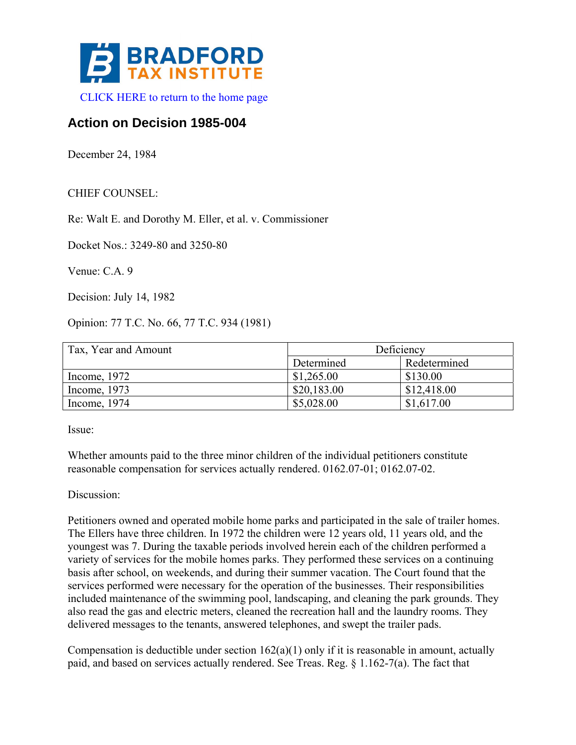

## **Action on Decision 1985-004**

December 24, 1984

## CHIEF COUNSEL:

Re: Walt E. and Dorothy M. Eller, et al. v. Commissioner

Docket Nos.: 3249-80 and 3250-80

Venue: C.A. 9

Decision: July 14, 1982

Opinion: 77 T.C. No. 66, 77 T.C. 934 (1981)

| Tax, Year and Amount | Deficiency  |              |
|----------------------|-------------|--------------|
|                      | Determined  | Redetermined |
| Income, $1972$       | \$1,265.00  | \$130.00     |
| Income, 1973         | \$20,183.00 | \$12,418.00  |
| Income, 1974         | \$5,028.00  | \$1,617.00   |

Issue:

Whether amounts paid to the three minor children of the individual petitioners constitute reasonable compensation for services actually rendered. 0162.07-01; 0162.07-02.

Discussion:

Petitioners owned and operated mobile home parks and participated in the sale of trailer homes. The Ellers have three children. In 1972 the children were 12 years old, 11 years old, and the youngest was 7. During the taxable periods involved herein each of the children performed a variety of services for the mobile homes parks. They performed these services on a continuing basis after school, on weekends, and during their summer vacation. The Court found that the services performed were necessary for the operation of the businesses. Their responsibilities included maintenance of the swimming pool, landscaping, and cleaning the park grounds. They also read the gas and electric meters, cleaned the recreation hall and the laundry rooms. They delivered messages to the tenants, answered telephones, and swept the trailer pads.

Compensation is deductible under section  $162(a)(1)$  only if it is reasonable in amount, actually paid, and based on services actually rendered. See Treas. Reg. § 1.162-7(a). The fact that